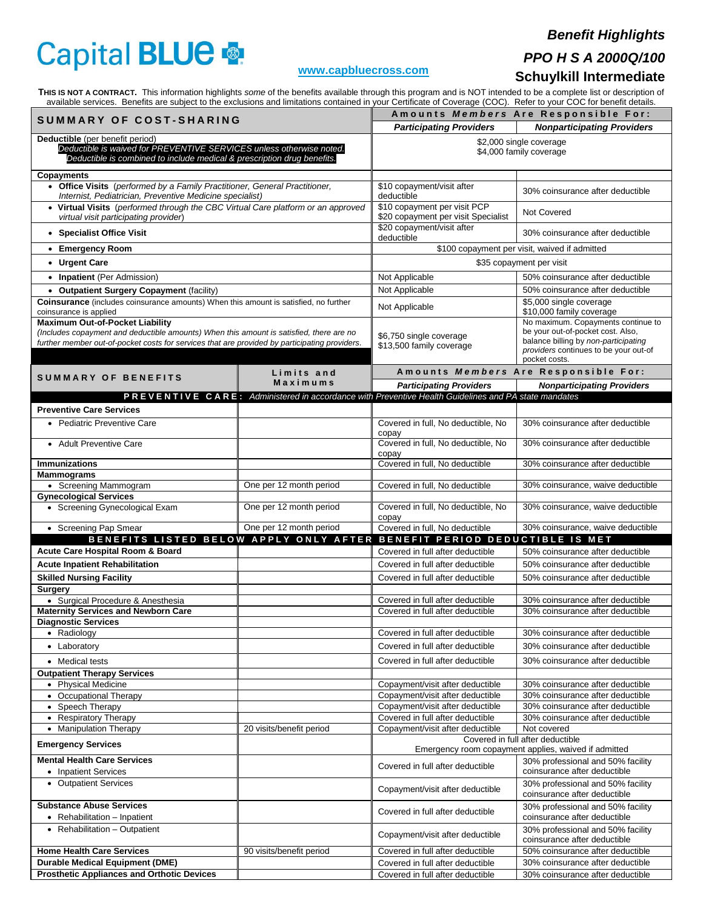# Capital BLUE

## *Benefit Highlights*

# *PPO H S A 2000Q/100*

#### **[www.capbluecross.com](http://www.capbluecross.com/)**

## **Schuylkill Intermediate**

**THIS IS NOT A CONTRACT.**This information highlights *some* of the benefits available through this program and is NOT intended to be a complete list or description of available services. Benefits are subject to the exclusions and limitations contained in your Certificate of Coverage (COC). Refer to your COC for benefit details.

| SUMMARY OF COST-SHARING                                                                                                                                                                                                            |                          |                                                                                                     | Amounts Members Are Responsible For:                                                                                                                                      |
|------------------------------------------------------------------------------------------------------------------------------------------------------------------------------------------------------------------------------------|--------------------------|-----------------------------------------------------------------------------------------------------|---------------------------------------------------------------------------------------------------------------------------------------------------------------------------|
|                                                                                                                                                                                                                                    |                          | <b>Participating Providers</b>                                                                      | <b>Nonparticipating Providers</b>                                                                                                                                         |
| Deductible (per benefit period)<br>Deductible is waived for PREVENTIVE SERVICES unless otherwise noted.<br>Deductible is combined to include medical & prescription drug benefits.                                                 |                          | \$2,000 single coverage<br>\$4,000 family coverage                                                  |                                                                                                                                                                           |
| <b>Copayments</b>                                                                                                                                                                                                                  |                          | \$10 copayment/visit after                                                                          |                                                                                                                                                                           |
| • Office Visits (performed by a Family Practitioner, General Practitioner,<br>Internist, Pediatrician, Preventive Medicine specialist)                                                                                             |                          | deductible                                                                                          | 30% coinsurance after deductible                                                                                                                                          |
| • Virtual Visits (performed through the CBC Virtual Care platform or an approved<br>virtual visit participating provider)                                                                                                          |                          | \$10 copayment per visit PCP<br>\$20 copayment per visit Specialist                                 | Not Covered                                                                                                                                                               |
| • Specialist Office Visit                                                                                                                                                                                                          |                          | \$20 copayment/visit after<br>deductible                                                            | 30% coinsurance after deductible                                                                                                                                          |
| • Emergency Room                                                                                                                                                                                                                   |                          | \$100 copayment per visit, waived if admitted                                                       |                                                                                                                                                                           |
| • Urgent Care                                                                                                                                                                                                                      |                          | \$35 copayment per visit                                                                            |                                                                                                                                                                           |
| • Inpatient (Per Admission)                                                                                                                                                                                                        |                          | Not Applicable                                                                                      | 50% coinsurance after deductible                                                                                                                                          |
| • Outpatient Surgery Copayment (facility)                                                                                                                                                                                          |                          | Not Applicable                                                                                      | 50% coinsurance after deductible                                                                                                                                          |
| Coinsurance (includes coinsurance amounts) When this amount is satisfied, no further<br>coinsurance is applied                                                                                                                     |                          | Not Applicable                                                                                      | \$5,000 single coverage<br>\$10,000 family coverage                                                                                                                       |
| <b>Maximum Out-of-Pocket Liability</b><br>(Includes copayment and deductible amounts) When this amount is satisfied, there are no<br>further member out-of-pocket costs for services that are provided by participating providers. |                          | \$6,750 single coverage<br>\$13,500 family coverage                                                 | No maximum. Copayments continue to<br>be your out-of-pocket cost. Also,<br>balance billing by non-participating<br>providers continues to be your out-of<br>pocket costs. |
| <b>SUMMARY OF BENEFITS</b>                                                                                                                                                                                                         | Limits and               |                                                                                                     | Amounts Members Are Responsible For:                                                                                                                                      |
|                                                                                                                                                                                                                                    | Maximums                 | <b>Participating Providers</b>                                                                      | <b>Nonparticipating Providers</b>                                                                                                                                         |
|                                                                                                                                                                                                                                    |                          | PREVENTIVE CARE: Administered in accordance with Preventive Health Guidelines and PA state mandates |                                                                                                                                                                           |
| <b>Preventive Care Services</b>                                                                                                                                                                                                    |                          |                                                                                                     |                                                                                                                                                                           |
| • Pediatric Preventive Care<br>• Adult Preventive Care                                                                                                                                                                             |                          | Covered in full, No deductible, No<br>copay<br>Covered in full, No deductible, No                   | 30% coinsurance after deductible<br>30% coinsurance after deductible                                                                                                      |
|                                                                                                                                                                                                                                    |                          | copay                                                                                               |                                                                                                                                                                           |
| <b>Immunizations</b><br><b>Mammograms</b>                                                                                                                                                                                          |                          | Covered in full, No deductible                                                                      | 30% coinsurance after deductible                                                                                                                                          |
| • Screening Mammogram                                                                                                                                                                                                              | One per 12 month period  | Covered in full, No deductible                                                                      | 30% coinsurance, waive deductible                                                                                                                                         |
| <b>Gynecological Services</b>                                                                                                                                                                                                      |                          |                                                                                                     |                                                                                                                                                                           |
| • Screening Gynecological Exam                                                                                                                                                                                                     | One per 12 month period  | Covered in full, No deductible, No<br>copay                                                         | 30% coinsurance, waive deductible                                                                                                                                         |
| • Screening Pap Smear                                                                                                                                                                                                              | One per 12 month period  | Covered in full, No deductible                                                                      | 30% coinsurance, waive deductible                                                                                                                                         |
| BENEFITS LISTED BELOW APPLY ONLY AFTER BENEFIT PERIOD DEDUCTIBLE IS MET<br>Acute Care Hospital Room & Board                                                                                                                        |                          | Covered in full after deductible                                                                    | 50% coinsurance after deductible                                                                                                                                          |
| <b>Acute Inpatient Rehabilitation</b>                                                                                                                                                                                              |                          | Covered in full after deductible                                                                    | 50% coinsurance after deductible                                                                                                                                          |
| <b>Skilled Nursing Facility</b>                                                                                                                                                                                                    |                          | Covered in full after deductible                                                                    | 50% coinsurance after deductible                                                                                                                                          |
| <b>Surgery</b>                                                                                                                                                                                                                     |                          |                                                                                                     |                                                                                                                                                                           |
| • Surgical Procedure & Anesthesia                                                                                                                                                                                                  |                          | Covered in full after deductible                                                                    | 30% coinsurance after deductible                                                                                                                                          |
| <b>Maternity Services and Newborn Care</b><br><b>Diagnostic Services</b>                                                                                                                                                           |                          | Covered in full after deductible                                                                    | 30% coinsurance after deductible                                                                                                                                          |
| • Radiology                                                                                                                                                                                                                        |                          | Covered in full after deductible                                                                    | 30% coinsurance after deductible                                                                                                                                          |
| • Laboratory                                                                                                                                                                                                                       |                          | Covered in full after deductible                                                                    | 30% coinsurance after deductible                                                                                                                                          |
| • Medical tests                                                                                                                                                                                                                    |                          | Covered in full after deductible                                                                    | 30% coinsurance after deductible                                                                                                                                          |
| <b>Outpatient Therapy Services</b>                                                                                                                                                                                                 |                          |                                                                                                     |                                                                                                                                                                           |
| • Physical Medicine                                                                                                                                                                                                                |                          | Copayment/visit after deductible<br>Copayment/visit after deductible                                | 30% coinsurance after deductible                                                                                                                                          |
| • Occupational Therapy<br>• Speech Therapy                                                                                                                                                                                         |                          | Copayment/visit after deductible                                                                    | 30% coinsurance after deductible<br>30% coinsurance after deductible                                                                                                      |
| • Respiratory Therapy                                                                                                                                                                                                              |                          | Covered in full after deductible                                                                    | 30% coinsurance after deductible                                                                                                                                          |
| • Manipulation Therapy                                                                                                                                                                                                             | 20 visits/benefit period | Copayment/visit after deductible                                                                    | Not covered                                                                                                                                                               |
| <b>Emergency Services</b>                                                                                                                                                                                                          |                          | Covered in full after deductible<br>Emergency room copayment applies, waived if admitted            |                                                                                                                                                                           |
| <b>Mental Health Care Services</b>                                                                                                                                                                                                 |                          | Covered in full after deductible                                                                    | 30% professional and 50% facility<br>coinsurance after deductible                                                                                                         |
| • Inpatient Services<br>• Outpatient Services                                                                                                                                                                                      |                          | Copayment/visit after deductible                                                                    | 30% professional and 50% facility                                                                                                                                         |
| <b>Substance Abuse Services</b>                                                                                                                                                                                                    |                          |                                                                                                     | coinsurance after deductible<br>30% professional and 50% facility                                                                                                         |
| • Rehabilitation – Inpatient                                                                                                                                                                                                       |                          | Covered in full after deductible                                                                    | coinsurance after deductible                                                                                                                                              |
| • Rehabilitation - Outpatient                                                                                                                                                                                                      |                          | Copayment/visit after deductible                                                                    | 30% professional and 50% facility<br>coinsurance after deductible                                                                                                         |
| <b>Home Health Care Services</b>                                                                                                                                                                                                   | 90 visits/benefit period | Covered in full after deductible                                                                    | 50% coinsurance after deductible                                                                                                                                          |
| <b>Durable Medical Equipment (DME)</b>                                                                                                                                                                                             |                          | Covered in full after deductible                                                                    | 30% coinsurance after deductible                                                                                                                                          |
| <b>Prosthetic Appliances and Orthotic Devices</b>                                                                                                                                                                                  |                          | Covered in full after deductible                                                                    | 30% coinsurance after deductible                                                                                                                                          |